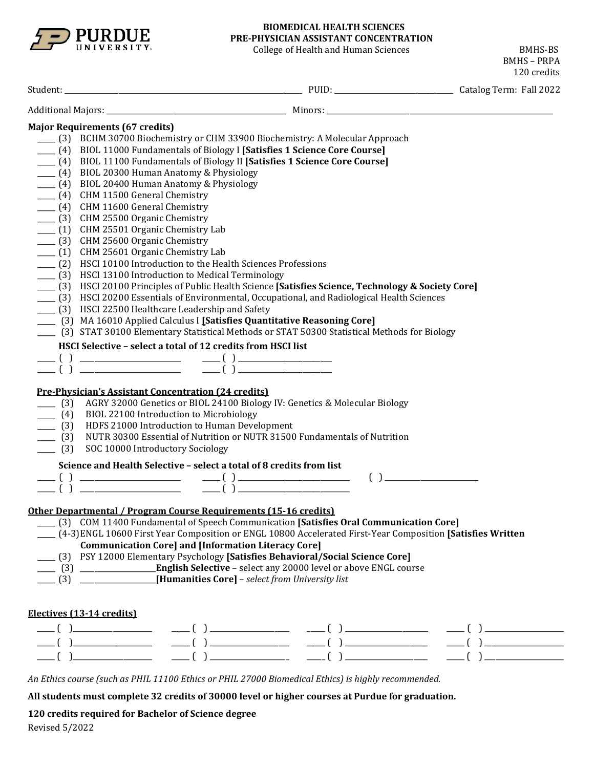

### **BIOMEDICAL HEALTH SCIENCES PRE-PHYSICIAN ASSISTANT CONCENTRATION**

BMHS – PRPA

College of Health and Human Sciences BMHS-BS

120 credits Student: \_\_\_\_\_\_\_\_\_\_\_\_\_\_\_\_\_\_\_\_\_\_\_\_\_\_\_\_\_\_\_\_\_\_\_\_\_\_\_\_\_\_\_\_\_\_\_\_\_\_\_\_\_\_\_\_\_\_\_\_\_\_\_\_\_\_ PUID: \_\_\_\_\_\_\_\_\_\_\_\_\_\_\_\_\_\_\_\_\_\_\_\_\_\_\_\_\_\_\_\_\_ Catalog Term: Fall 2022 Additional Majors: \_\_\_\_\_\_\_\_\_\_\_\_\_\_\_\_\_\_\_\_\_\_\_\_\_\_\_\_\_\_\_\_\_\_\_\_\_\_\_\_\_\_\_\_\_\_\_\_\_\_ Minors: \_\_\_\_\_\_\_\_\_\_\_\_\_\_\_\_\_\_\_\_\_\_\_\_\_\_\_\_\_\_\_\_\_\_\_\_\_\_\_\_\_\_\_\_\_\_\_\_\_\_\_\_\_\_\_\_\_\_\_\_\_\_\_ **Major Requirements (67 credits)** \_\_\_\_\_ (3) BCHM 30700 Biochemistry or CHM 33900 Biochemistry: A Molecular Approach \_\_\_\_\_ (4) BIOL 11000 Fundamentals of Biology I **[Satisfies 1 Science Core Course]** \_\_\_\_\_ (4) BIOL 11100 Fundamentals of Biology II **[Satisfies 1 Science Core Course]** \_\_\_\_\_ (4) BIOL 20300 Human Anatomy & Physiology  $\frac{1}{2}$  (4) BIOL 20400 Human Anatomy & Physiology \_\_\_\_\_ (4) CHM 11500 General Chemistry \_\_\_\_\_ (4) CHM 11600 General Chemistry \_\_\_\_\_ (3) CHM 25500 Organic Chemistry \_\_\_\_\_ (1) CHM 25501 Organic Chemistry Lab \_\_\_\_\_ (3) CHM 25600 Organic Chemistry \_\_\_\_\_ (1) CHM 25601 Organic Chemistry Lab \_\_\_\_\_ (2) HSCI 10100 Introduction to the Health Sciences Professions \_\_\_\_\_ (3) HSCI 13100 Introduction to Medical Terminology \_\_\_\_\_ (3) HSCI 20100 Principles of Public Health Science **[Satisfies Science, Technology & Society Core]** \_\_\_\_\_ (3) HSCI 20200 Essentials of Environmental, Occupational, and Radiological Health Sciences \_\_\_\_\_ (3) HSCI 22500 Healthcare Leadership and Safety \_\_\_\_\_ (3) MA 16010 Applied Calculus I **[Satisfies Quantitative Reasoning Core]** \_\_\_\_\_ (3) STAT 30100 Elementary Statistical Methods or STAT 50300 Statistical Methods for Biology **HSCI Selective – select a total of 12 credits from HSCI list**  \_\_\_\_\_ ( ) \_\_\_\_\_\_\_\_\_\_\_\_\_\_\_\_\_\_\_\_\_\_\_\_\_\_\_\_ \_\_\_\_\_ ( ) \_\_\_\_\_\_\_\_\_\_\_\_\_\_\_\_\_\_\_\_\_\_\_\_\_\_ \_\_\_\_\_ ( ) \_\_\_\_\_\_\_\_\_\_\_\_\_\_\_\_\_\_\_\_\_\_\_\_\_\_\_\_ \_\_\_\_\_ ( ) \_\_\_\_\_\_\_\_\_\_\_\_\_\_\_\_\_\_\_\_\_\_\_\_\_\_ **Pre-Physician's Assistant Concentration (24 credits)** \_\_\_\_\_ (3) AGRY 32000 Genetics or BIOL 24100 Biology IV: Genetics & Molecular Biology \_\_\_\_\_ (4) BIOL 22100 Introduction to Microbiology \_\_\_\_\_ (3) HDFS 21000 Introduction to Human Development \_\_\_\_\_ (3) NUTR 30300 Essential of Nutrition or NUTR 31500 Fundamentals of Nutrition \_\_\_\_\_ (3) SOC 10000 Introductory Sociology **Science and Health Selective – select a total of 8 credits from list** \_\_\_\_\_ ( ) \_\_\_\_\_\_\_\_\_\_\_\_\_\_\_\_\_\_\_\_\_\_\_\_\_\_\_\_ \_\_\_\_\_ ( ) \_\_\_\_\_\_\_\_\_\_\_\_\_\_\_\_\_\_\_\_\_\_\_\_\_\_\_\_\_\_\_ ( ) \_\_\_\_\_\_\_\_\_\_\_\_\_\_\_\_\_\_\_\_\_\_\_\_\_\_ \_\_\_\_\_ ( ) \_\_\_\_\_\_\_\_\_\_\_\_\_\_\_\_\_\_\_\_\_\_\_\_\_\_\_\_ \_\_\_\_\_ ( ) \_\_\_\_\_\_\_\_\_\_\_\_\_\_\_\_\_\_\_\_\_\_\_\_\_\_\_\_\_\_\_ **Other Departmental / Program Course Requirements (15-16 credits)** \_\_\_\_\_ (3) COM 11400 Fundamental of Speech Communication **[Satisfies Oral Communication Core]** \_\_\_\_\_ (4-3)ENGL 10600 First Year Composition or ENGL 10800 Accelerated First-Year Composition **[Satisfies Written Communication Core] and [Information Literacy Core]** \_\_\_\_\_ (3) PSY 12000 Elementary Psychology **[Satisfies Behavioral/Social Science Core]**  \_\_\_\_\_ (3) \_\_\_\_\_\_\_\_\_\_\_\_\_\_\_\_\_\_\_\_\_**English Selective** – select any 20000 level or above ENGL course \_\_\_\_\_ (3) \_\_\_\_\_\_\_\_\_\_\_\_\_\_\_\_\_\_\_\_\_**[Humanities Core]** – *select from University list* **Electives (13-14 credits)** \_\_\_\_\_ ( )\_\_\_\_\_\_\_\_\_\_\_\_\_\_\_\_\_\_\_\_\_\_ \_\_\_\_\_ ( ) \_\_\_\_\_\_\_\_\_\_\_\_\_\_\_\_\_\_\_\_\_\_ \_\_\_\_\_ ( ) \_\_\_\_\_\_\_\_\_\_\_\_\_\_\_\_\_\_\_\_\_\_\_ \_\_\_\_\_ ( ) \_\_\_\_\_\_\_\_\_\_\_\_\_\_\_\_\_\_\_\_\_\_ \_\_\_\_\_ ( )\_\_\_\_\_\_\_\_\_\_\_\_\_\_\_\_\_\_\_\_\_\_ \_\_\_\_\_ ( ) \_\_\_\_\_\_\_\_\_\_\_\_\_\_\_\_\_\_\_\_\_\_ \_\_\_\_\_ ( ) \_\_\_\_\_\_\_\_\_\_\_\_\_\_\_\_\_\_\_\_\_\_\_ \_\_\_\_\_ ( ) \_\_\_\_\_\_\_\_\_\_\_\_\_\_\_\_\_\_\_\_\_\_ \_\_\_\_\_ ( )\_\_\_\_\_\_\_\_\_\_\_\_\_\_\_\_\_\_\_\_\_\_ \_\_\_\_\_ ( ) \_\_\_\_\_\_\_\_\_\_\_\_\_\_\_\_\_\_\_\_\_\_ \_\_\_\_\_ ( ) \_\_\_\_\_\_\_\_\_\_\_\_\_\_\_\_\_\_\_\_\_\_\_ \_\_\_\_\_ ( ) \_\_\_\_\_\_\_\_\_\_\_\_\_\_\_\_\_\_\_\_\_\_ *An Ethics course (such as PHIL 11100 Ethics or PHIL 27000 Biomedical Ethics) is highly recommended.*

**All students must complete 32 credits of 30000 level or higher courses at Purdue for graduation.**

**120 credits required for Bachelor of Science degree**

Revised 5/2022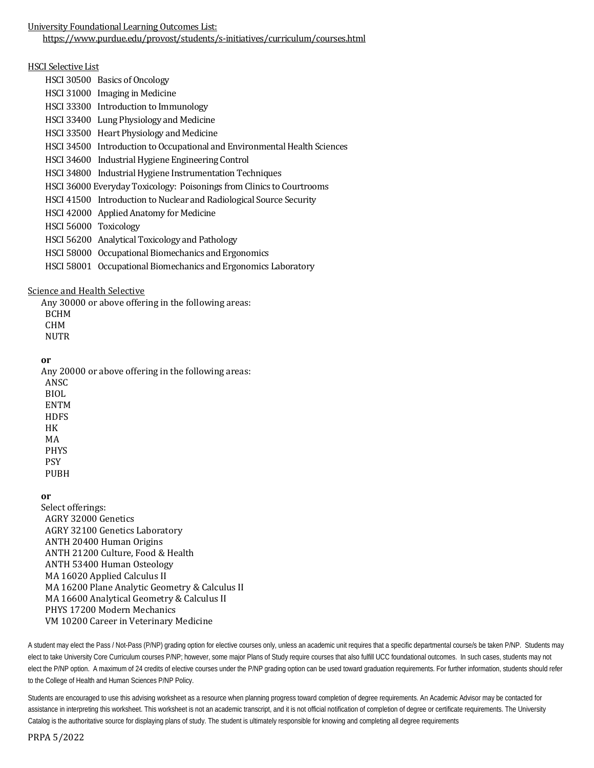#### University Foundational Learning Outcomes List: <https://www.purdue.edu/provost/students/s-initiatives/curriculum/courses.html>

#### HSCI Selective List

- HSCI 30500 Basics of Oncology HSCI 31000 Imaging in Medicine HSCI 33300 Introduction to Immunology HSCI 33400 Lung Physiology and Medicine HSCI 33500 Heart Physiology and Medicine HSCI 34500 Introduction to Occupational and Environmental Health Sciences HSCI 34600 Industrial Hygiene Engineering Control HSCI 34800 Industrial Hygiene Instrumentation Techniques HSCI 36000 Everyday Toxicology: Poisonings from Clinics to Courtrooms HSCI 41500 Introduction to Nuclear and Radiological Source Security HSCI 42000 Applied Anatomy for Medicine HSCI 56000 Toxicology HSCI 56200 Analytical Toxicology and Pathology HSCI 58000 Occupational Biomechanics and Ergonomics
- HSCI 58001 Occupational Biomechanics and Ergonomics Laboratory

#### Science and Health Selective

Any 30000 or above offering in the following areas: BCHM CHM **NUTR** 

#### **or**

Any 20000 or above offering in the following areas:

ANSC BIOL ENTM **HDFS** HK MA PHYS PSY PUBH

## **or**

Select offerings: AGRY 32000 Genetics AGRY 32100 Genetics Laboratory ANTH 20400 Human Origins ANTH 21200 Culture, Food & Health ANTH 53400 Human Osteology MA 16020 Applied Calculus II MA 16200 Plane Analytic Geometry & Calculus II MA 16600 Analytical Geometry & Calculus II PHYS 17200 Modern Mechanics VM 10200 Career in Veterinary Medicine

A student may elect the Pass / Not-Pass (P/NP) grading option for elective courses only, unless an academic unit requires that a specific departmental course/s be taken P/NP. Students may elect to take University Core Curriculum courses P/NP; however, some major Plans of Study require courses that also fulfill UCC foundational outcomes. In such cases, students may not elect the P/NP option. A maximum of 24 credits of elective courses under the P/NP grading option can be used toward graduation requirements. For further information, students should refer to the College of Health and Human Sciences P/NP Policy.

Students are encouraged to use this advising worksheet as a resource when planning progress toward completion of degree requirements. An Academic Advisor may be contacted for assistance in interpreting this worksheet. This worksheet is not an academic transcript, and it is not official notification of completion of degree or certificate requirements. The University Catalog is the authoritative source for displaying plans of study. The student is ultimately responsible for knowing and completing all degree requirements

PRPA 5/2022